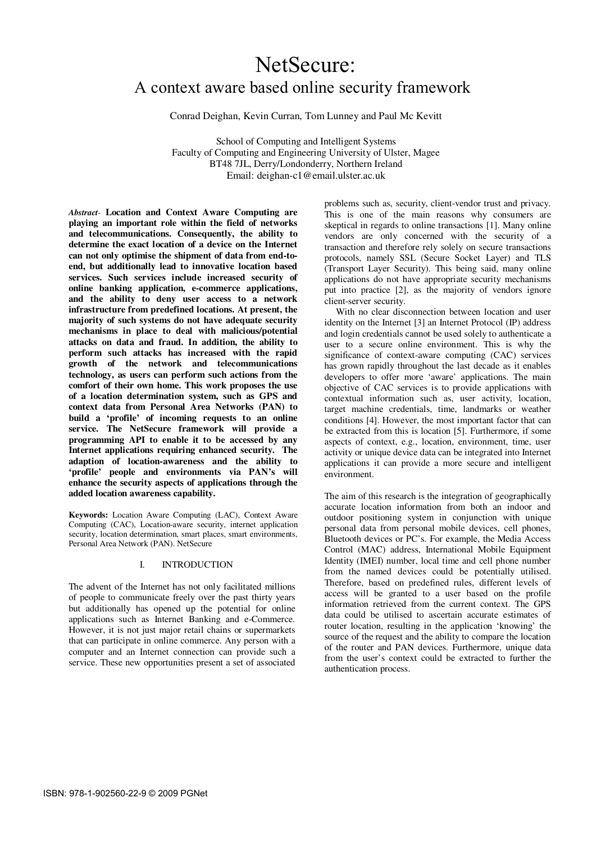# NetSecure: A context aware based online security framework

Conrad Deighan, Kevin Curran, Tom Lunney and Paul Mc Kevitt

School of Computing and Intelligent Systems Faculty of Computing and Engineering University of Ulster, Magee BT48 7JL, Derry/Londonderry, Northern Ireland Email: deighan-c1@email.ulster.ac.uk

*Abstract-* **Location and Context Aware Computing are playing an important role within the field of networks and telecommunications. Consequently, the ability to determine the exact location of a device on the Internet can not only optimise the shipment of data from end-toend, but additionally lead to innovative location based services. Such services include increased security of online banking application, e-commerce applications, and the ability to deny user access to a network infrastructure from predefined locations. At present, the majority of such systems do not have adequate security mechanisms in place to deal with malicious/potential attacks on data and fraud. In addition, the ability to perform such attacks has increased with the rapid growth of the network and telecommunications technology, as users can perform such actions from the comfort of their own home. This work proposes the use of a location determination system, such as GPS and context data from Personal Area Networks (PAN) to build a 'profile' of incoming requests to an online service. The NetSecure framework will provide a programming API to enable it to be accessed by any Internet applications requiring enhanced security. The adaption of location-awareness and the ability to 'profile' people and environments via PAN's will enhance the security aspects of applications through the added location awareness capability.** 

**Keywords:** Location Aware Computing (LAC), Context Aware Computing (CAC), Location-aware security, internet application security, location determination, smart places, smart environments, Personal Area Network (PAN). NetSecure

## I. INTRODUCTION

The advent of the Internet has not only facilitated millions of people to communicate freely over the past thirty years but additionally has opened up the potential for online applications such as Internet Banking and e-Commerce. However, it is not just major retail chains or supermarkets that can participate in online commerce. Any person with a computer and an Internet connection can provide such a service. These new opportunities present a set of associated

problems such as, security, client-vendor trust and privacy. This is one of the main reasons why consumers are skeptical in regards to online transactions [1]. Many online vendors are only concerned with the security of a transaction and therefore rely solely on secure transactions protocols, namely SSL (Secure Socket Layer) and TLS (Transport Layer Security). This being said, many online applications do not have appropriate security mechanisms put into practice [2], as the majority of vendors ignore client-server security.

 With no clear disconnection between location and user identity on the Internet [3] an Internet Protocol (IP) address and login credentials cannot be used solely to authenticate a user to a secure online environment. This is why the significance of context-aware computing (CAC) services has grown rapidly throughout the last decade as it enables developers to offer more 'aware' applications. The main objective of CAC services is to provide applications with contextual information such as, user activity, location, target machine credentials, time, landmarks or weather conditions [4]. However, the most important factor that can be extracted from this is location [5]. Furthermore, if some aspects of context, e.g., location, environment, time, user activity or unique device data can be integrated into Internet applications it can provide a more secure and intelligent environment.

The aim of this research is the integration of geographically accurate location information from both an indoor and outdoor positioning system in conjunction with unique personal data from personal mobile devices, cell phones, Bluetooth devices or PC's. For example, the Media Access Control (MAC) address, International Mobile Equipment Identity (IMEI) number, local time and cell phone number from the named devices could be potentially utilised. Therefore, based on predefined rules, different levels of access will be granted to a user based on the profile information retrieved from the current context. The GPS data could be utilised to ascertain accurate estimates of router location, resulting in the application 'knowing' the source of the request and the ability to compare the location of the router and PAN devices. Furthermore, unique data from the user's context could be extracted to further the authentication process.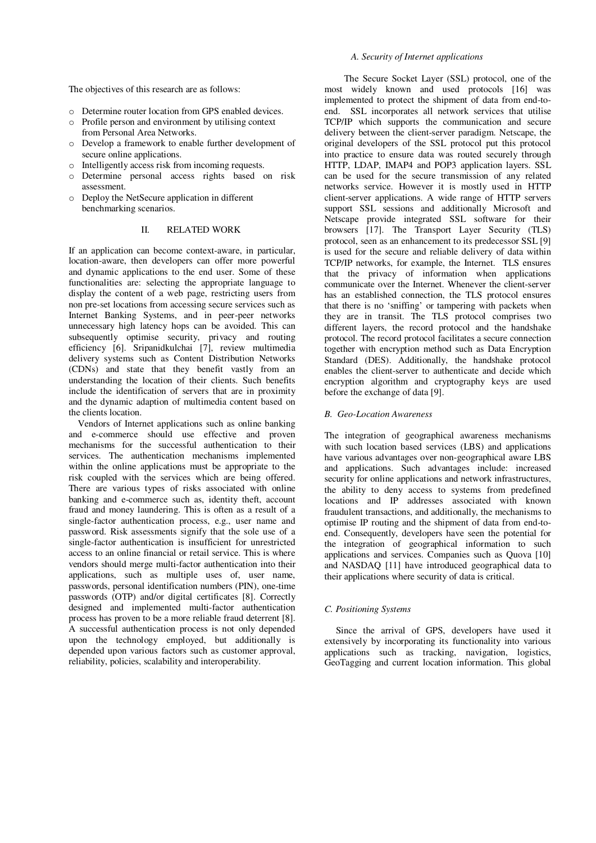The objectives of this research are as follows:

- o Determine router location from GPS enabled devices.
- o Profile person and environment by utilising context from Personal Area Networks.
- o Develop a framework to enable further development of secure online applications.
- o Intelligently access risk from incoming requests.
- o Determine personal access rights based on risk assessment.
- o Deploy the NetSecure application in different benchmarking scenarios.

## II. RELATED WORK

If an application can become context-aware, in particular, location-aware, then developers can offer more powerful and dynamic applications to the end user. Some of these functionalities are: selecting the appropriate language to display the content of a web page, restricting users from non pre-set locations from accessing secure services such as Internet Banking Systems, and in peer-peer networks unnecessary high latency hops can be avoided. This can subsequently optimise security, privacy and routing efficiency [6]. Sripanidkulchai [7], review multimedia delivery systems such as Content Distribution Networks (CDNs) and state that they benefit vastly from an understanding the location of their clients. Such benefits include the identification of servers that are in proximity and the dynamic adaption of multimedia content based on the clients location.

 Vendors of Internet applications such as online banking and e-commerce should use effective and proven mechanisms for the successful authentication to their services. The authentication mechanisms implemented within the online applications must be appropriate to the risk coupled with the services which are being offered. There are various types of risks associated with online banking and e-commerce such as, identity theft, account fraud and money laundering. This is often as a result of a single-factor authentication process, e.g., user name and password. Risk assessments signify that the sole use of a single-factor authentication is insufficient for unrestricted access to an online financial or retail service. This is where vendors should merge multi-factor authentication into their applications, such as multiple uses of, user name, passwords, personal identification numbers (PIN), one-time passwords (OTP) and/or digital certificates [8]. Correctly designed and implemented multi-factor authentication process has proven to be a more reliable fraud deterrent [8]. A successful authentication process is not only depended upon the technology employed, but additionally is depended upon various factors such as customer approval, reliability, policies, scalability and interoperability.

## *A. Security of Internet applications*

The Secure Socket Layer (SSL) protocol, one of the most widely known and used protocols [16] was implemented to protect the shipment of data from end-toend. SSL incorporates all network services that utilise TCP/IP which supports the communication and secure delivery between the client-server paradigm. Netscape, the original developers of the SSL protocol put this protocol into practice to ensure data was routed securely through HTTP, LDAP, IMAP4 and POP3 application layers. SSL can be used for the secure transmission of any related networks service. However it is mostly used in HTTP client-server applications. A wide range of HTTP servers support SSL sessions and additionally Microsoft and Netscape provide integrated SSL software for their browsers [17]. The Transport Layer Security (TLS) protocol, seen as an enhancement to its predecessor SSL [9] is used for the secure and reliable delivery of data within TCP/IP networks, for example, the Internet. TLS ensures that the privacy of information when applications communicate over the Internet. Whenever the client-server has an established connection, the TLS protocol ensures that there is no 'sniffing' or tampering with packets when they are in transit. The TLS protocol comprises two different layers, the record protocol and the handshake protocol. The record protocol facilitates a secure connection together with encryption method such as Data Encryption Standard (DES). Additionally, the handshake protocol enables the client-server to authenticate and decide which encryption algorithm and cryptography keys are used before the exchange of data [9].

#### *B. Geo-Location Awareness*

The integration of geographical awareness mechanisms with such location based services (LBS) and applications have various advantages over non-geographical aware LBS and applications. Such advantages include: increased security for online applications and network infrastructures, the ability to deny access to systems from predefined locations and IP addresses associated with known fraudulent transactions, and additionally, the mechanisms to optimise IP routing and the shipment of data from end-toend. Consequently, developers have seen the potential for the integration of geographical information to such applications and services. Companies such as Quova [10] and NASDAQ [11] have introduced geographical data to their applications where security of data is critical.

#### *C. Positioning Systems*

 Since the arrival of GPS, developers have used it extensively by incorporating its functionality into various applications such as tracking, navigation, logistics, GeoTagging and current location information. This global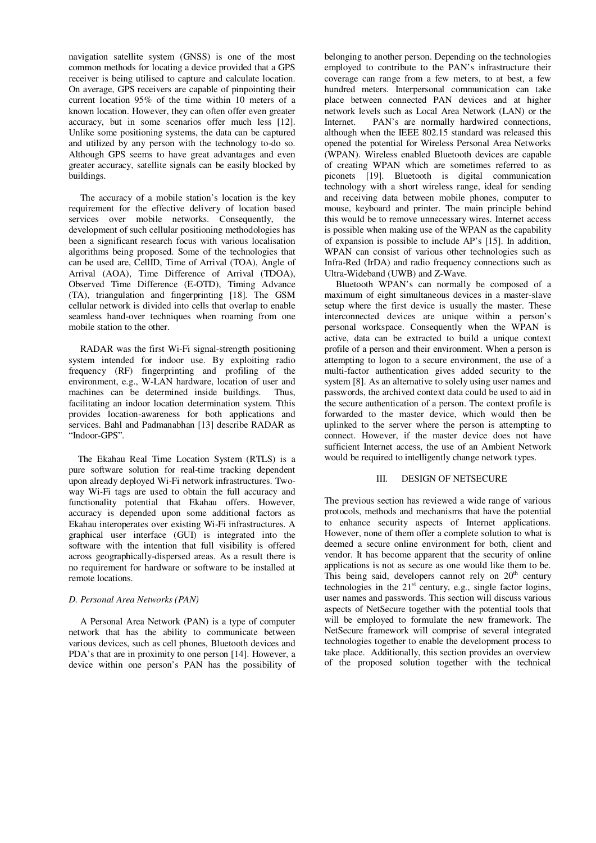navigation satellite system (GNSS) is one of the most common methods for locating a device provided that a GPS receiver is being utilised to capture and calculate location. On average, GPS receivers are capable of pinpointing their current location 95% of the time within 10 meters of a known location. However, they can often offer even greater accuracy, but in some scenarios offer much less [12]. Unlike some positioning systems, the data can be captured and utilized by any person with the technology to-do so. Although GPS seems to have great advantages and even greater accuracy, satellite signals can be easily blocked by buildings.

 The accuracy of a mobile station's location is the key requirement for the effective delivery of location based services over mobile networks. Consequently, the development of such cellular positioning methodologies has been a significant research focus with various localisation algorithms being proposed. Some of the technologies that can be used are, CellID, Time of Arrival (TOA), Angle of Arrival (AOA), Time Difference of Arrival (TDOA), Observed Time Difference (E-OTD), Timing Advance (TA), triangulation and fingerprinting [18]. The GSM cellular network is divided into cells that overlap to enable seamless hand-over techniques when roaming from one mobile station to the other.

 RADAR was the first Wi-Fi signal-strength positioning system intended for indoor use. By exploiting radio frequency (RF) fingerprinting and profiling of the environment, e.g., W-LAN hardware, location of user and machines can be determined inside buildings. Thus, facilitating an indoor location determination system. Tthis provides location-awareness for both applications and services. Bahl and Padmanabhan [13] describe RADAR as "Indoor-GPS".

 The Ekahau Real Time Location System (RTLS) is a pure software solution for real-time tracking dependent upon already deployed Wi-Fi network infrastructures. Twoway Wi-Fi tags are used to obtain the full accuracy and functionality potential that Ekahau offers. However, accuracy is depended upon some additional factors as Ekahau interoperates over existing Wi-Fi infrastructures. A graphical user interface (GUI) is integrated into the software with the intention that full visibility is offered across geographically-dispersed areas. As a result there is no requirement for hardware or software to be installed at remote locations.

## *D. Personal Area Networks (PAN)*

 A Personal Area Network (PAN) is a type of computer network that has the ability to communicate between various devices, such as cell phones, Bluetooth devices and PDA's that are in proximity to one person [14]. However, a device within one person's PAN has the possibility of

belonging to another person. Depending on the technologies employed to contribute to the PAN's infrastructure their coverage can range from a few meters, to at best, a few hundred meters. Interpersonal communication can take place between connected PAN devices and at higher network levels such as Local Area Network (LAN) or the Internet. PAN's are normally hardwired connections, although when the IEEE 802.15 standard was released this opened the potential for Wireless Personal Area Networks (WPAN). Wireless enabled Bluetooth devices are capable of creating WPAN which are sometimes referred to as piconets [19]. Bluetooth is digital communication technology with a short wireless range, ideal for sending and receiving data between mobile phones, computer to mouse, keyboard and printer. The main principle behind this would be to remove unnecessary wires. Internet access is possible when making use of the WPAN as the capability of expansion is possible to include AP's [15]. In addition, WPAN can consist of various other technologies such as Infra-Red (IrDA) and radio frequency connections such as Ultra-Wideband (UWB) and Z-Wave.

 Bluetooth WPAN's can normally be composed of a maximum of eight simultaneous devices in a master-slave setup where the first device is usually the master. These interconnected devices are unique within a person's personal workspace. Consequently when the WPAN is active, data can be extracted to build a unique context profile of a person and their environment. When a person is attempting to logon to a secure environment, the use of a multi-factor authentication gives added security to the system [8]. As an alternative to solely using user names and passwords, the archived context data could be used to aid in the secure authentication of a person. The context profile is forwarded to the master device, which would then be uplinked to the server where the person is attempting to connect. However, if the master device does not have sufficient Internet access, the use of an Ambient Network would be required to intelligently change network types.

### III. DESIGN OF NETSECURE

The previous section has reviewed a wide range of various protocols, methods and mechanisms that have the potential to enhance security aspects of Internet applications. However, none of them offer a complete solution to what is deemed a secure online environment for both, client and vendor. It has become apparent that the security of online applications is not as secure as one would like them to be. This being said, developers cannot rely on  $20<sup>th</sup>$  century technologies in the  $21<sup>st</sup>$  century, e.g., single factor logins, user names and passwords. This section will discuss various aspects of NetSecure together with the potential tools that will be employed to formulate the new framework. The NetSecure framework will comprise of several integrated technologies together to enable the development process to take place. Additionally, this section provides an overview of the proposed solution together with the technical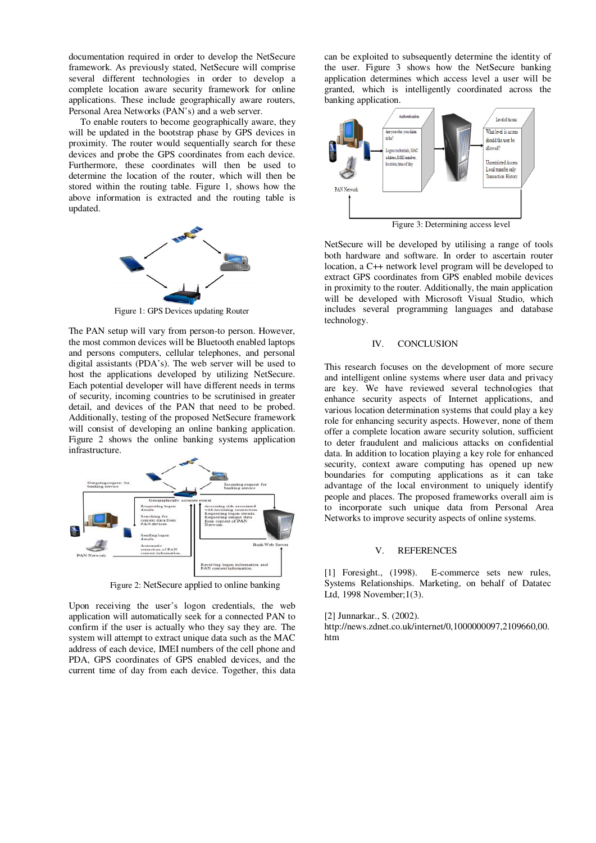documentation required in order to develop the NetSecure framework. As previously stated, NetSecure will comprise several different technologies in order to develop a complete location aware security framework for online applications. These include geographically aware routers, Personal Area Networks (PAN's) and a web server.

 To enable routers to become geographically aware, they will be updated in the bootstrap phase by GPS devices in proximity. The router would sequentially search for these devices and probe the GPS coordinates from each device. Furthermore, these coordinates will then be used to determine the location of the router, which will then be stored within the routing table. Figure 1, shows how the above information is extracted and the routing table is updated.



Figure 1: GPS Devices updating Router

The PAN setup will vary from person-to person. However, the most common devices will be Bluetooth enabled laptops and persons computers, cellular telephones, and personal digital assistants (PDA's). The web server will be used to host the applications developed by utilizing NetSecure. Each potential developer will have different needs in terms of security, incoming countries to be scrutinised in greater detail, and devices of the PAN that need to be probed. Additionally, testing of the proposed NetSecure framework will consist of developing an online banking application. Figure 2 shows the online banking systems application infrastructure.



Figure 2: NetSecure applied to online banking

Upon receiving the user's logon credentials, the web application will automatically seek for a connected PAN to confirm if the user is actually who they say they are. The system will attempt to extract unique data such as the MAC address of each device, IMEI numbers of the cell phone and PDA, GPS coordinates of GPS enabled devices, and the current time of day from each device. Together, this data can be exploited to subsequently determine the identity of the user. Figure 3 shows how the NetSecure banking application determines which access level a user will be granted, which is intelligently coordinated across the banking application.



NetSecure will be developed by utilising a range of tools both hardware and software. In order to ascertain router location, a C++ network level program will be developed to extract GPS coordinates from GPS enabled mobile devices in proximity to the router. Additionally, the main application will be developed with Microsoft Visual Studio, which includes several programming languages and database technology.

#### IV. CONCLUSION

This research focuses on the development of more secure and intelligent online systems where user data and privacy are key. We have reviewed several technologies that enhance security aspects of Internet applications, and various location determination systems that could play a key role for enhancing security aspects. However, none of them offer a complete location aware security solution, sufficient to deter fraudulent and malicious attacks on confidential data. In addition to location playing a key role for enhanced security, context aware computing has opened up new boundaries for computing applications as it can take advantage of the local environment to uniquely identify people and places. The proposed frameworks overall aim is to incorporate such unique data from Personal Area Networks to improve security aspects of online systems.

#### V. REFERENCES

[1] Foresight., (1998). E-commerce sets new rules, Systems Relationships. Marketing, on behalf of Datatec Ltd, 1998 November;1(3).

[2] Junnarkar., S. (2002). http://news.zdnet.co.uk/internet/0,1000000097,2109660,00. htm